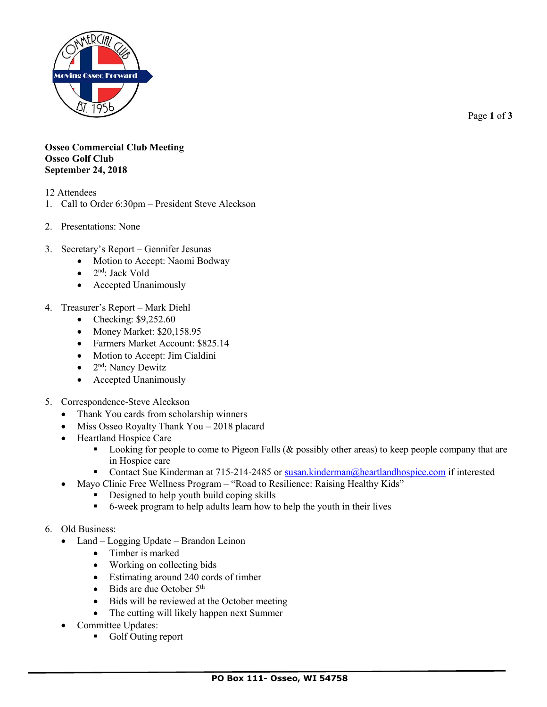

Page **1** of **3**

## **Osseo Commercial Club Meeting Osseo Golf Club September 24, 2018**

- 12 Attendees
- 1. Call to Order 6:30pm President Steve Aleckson
- 2. Presentations: None
- 3. Secretary's Report Gennifer Jesunas
	- Motion to Accept: Naomi Bodway
	- 2<sup>nd</sup>: Jack Vold
	- Accepted Unanimously
- 4. Treasurer's Report Mark Diehl
	- Checking: \$9,252.60
	- Money Market: \$20,158.95
	- Farmers Market Account: \$825.14
	- Motion to Accept: Jim Cialdini
	- $\bullet$  2<sup>nd</sup>: Nancy Dewitz
	- Accepted Unanimously
- 5. Correspondence-Steve Aleckson
	- Thank You cards from scholarship winners
	- Miss Osseo Royalty Thank You 2018 placard
	- Heartland Hospice Care
		- Looking for people to come to Pigeon Falls ( $&$  possibly other areas) to keep people company that are in Hospice care
		- Contact Sue Kinderman at 715-214-2485 or [susan.kinderman@heartlandhospice.com](mailto:susan.kinderman@heartlandhospice.com) if interested
		- Mayo Clinic Free Wellness Program "Road to Resilience: Raising Healthy Kids"
			- Designed to help youth build coping skills
				- 6-week program to help adults learn how to help the youth in their lives
- 6. Old Business:
	- Land Logging Update Brandon Leinon
		- Timber is marked
		- Working on collecting bids
		- Estimating around 240 cords of timber
		- Bids are due October  $5<sup>th</sup>$
		- Bids will be reviewed at the October meeting
		- The cutting will likely happen next Summer
	- Committee Updates:
		- Golf Outing report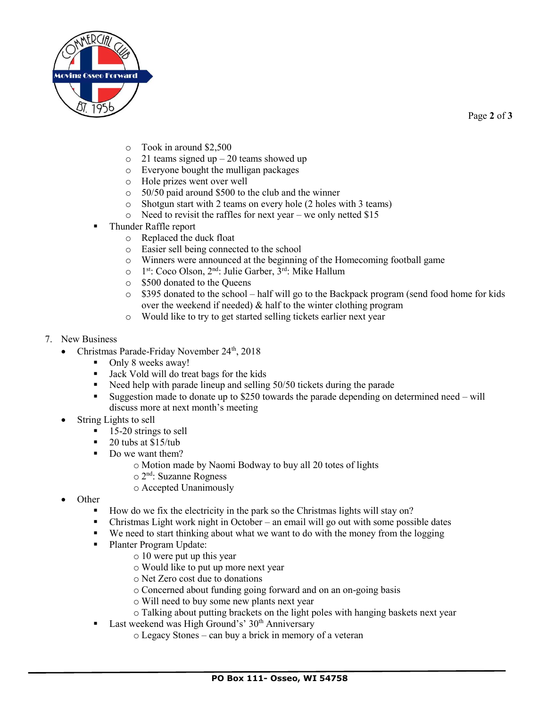

Page **2** of **3**

- o Took in around \$2,500
- $\circ$  21 teams signed up 20 teams showed up
- o Everyone bought the mulligan packages
- o Hole prizes went over well
- o 50/50 paid around \$500 to the club and the winner
- o Shotgun start with 2 teams on every hole (2 holes with 3 teams)
- o Need to revisit the raffles for next year we only netted \$15
- Thunder Raffle report
	- o Replaced the duck float
	- o Easier sell being connected to the school
	- o Winners were announced at the beginning of the Homecoming football game
	- o 1<sup>st</sup>: Coco Olson, 2<sup>nd</sup>: Julie Garber, 3<sup>rd</sup>: Mike Hallum
	- o \$500 donated to the Queens
	- o \$395 donated to the school half will go to the Backpack program (send food home for kids over the weekend if needed) & half to the winter clothing program
	- o Would like to try to get started selling tickets earlier next year
- 7. New Business
	- Christmas Parade-Friday November  $24<sup>th</sup>$ , 2018
		- Only 8 weeks away!
		- Jack Vold will do treat bags for the kids
		- Need help with parade lineup and selling 50/50 tickets during the parade
		- Suggestion made to donate up to  $$250$  towards the parade depending on determined need will discuss more at next month's meeting
	- String Lights to sell
		- 15-20 strings to sell
		- $\blacksquare$  20 tubs at \$15/tub
		- Do we want them?
			- o Motion made by Naomi Bodway to buy all 20 totes of lights
			- o 2 nd: Suzanne Rogness
			- o Accepted Unanimously
	- Other
		- How do we fix the electricity in the park so the Christmas lights will stay on?
		- Christmas Light work night in October an email will go out with some possible dates
		- We need to start thinking about what we want to do with the money from the logging
		- Planter Program Update:
			- o 10 were put up this year
			- o Would like to put up more next year
			- o Net Zero cost due to donations
			- o Concerned about funding going forward and on an on-going basis
			- o Will need to buy some new plants next year
			- o Talking about putting brackets on the light poles with hanging baskets next year
		- Last weekend was High Ground's' 30<sup>th</sup> Anniversary
			- o Legacy Stones can buy a brick in memory of a veteran